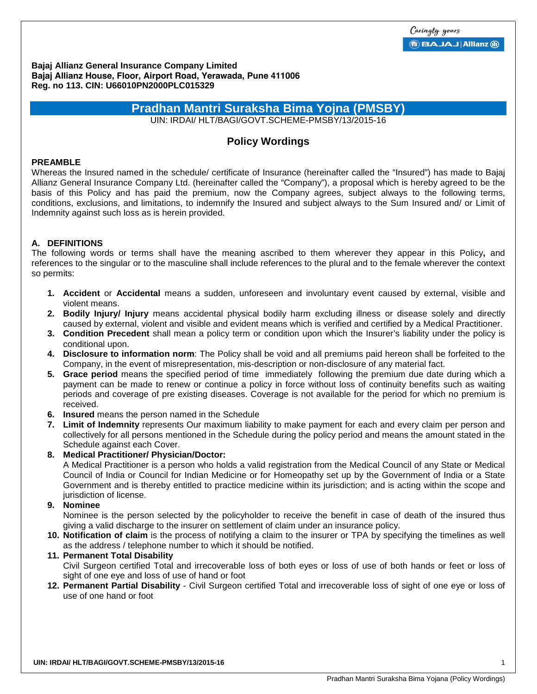**Bajaj Allianz General Insurance Company Limited Bajaj Allianz House, Floor, Airport Road, Yerawada, Pune 411006 Reg. no 113. CIN: U66010PN2000PLC015329** 

# **Pradhan Mantri Suraksha Bima Yojna (PMSBY)**

UIN: IRDAI/ HLT/BAGI/GOVT.SCHEME-PMSBY/13/2015-16

# **Policy Wordings**

### **PREAMBLE**

Whereas the Insured named in the schedule/ certificate of Insurance (hereinafter called the "Insured") has made to Bajaj Allianz General Insurance Company Ltd. (hereinafter called the "Company"), a proposal which is hereby agreed to be the basis of this Policy and has paid the premium, now the Company agrees, subject always to the following terms, conditions, exclusions, and limitations, to indemnify the Insured and subject always to the Sum Insured and/ or Limit of Indemnity against such loss as is herein provided.

## **A. DEFINITIONS**

The following words or terms shall have the meaning ascribed to them wherever they appear in this Policy**,** and references to the singular or to the masculine shall include references to the plural and to the female wherever the context so permits:

- **1. Accident** or **Accidental** means a sudden, unforeseen and involuntary event caused by external, visible and violent means.
- **2. Bodily Injury/ Injury** means accidental physical bodily harm excluding illness or disease solely and directly caused by external, violent and visible and evident means which is verified and certified by a Medical Practitioner.
- **3. Condition Precedent** shall mean a policy term or condition upon which the Insurer's liability under the policy is conditional upon.
- **4. Disclosure to information norm**: The Policy shall be void and all premiums paid hereon shall be forfeited to the Company, in the event of misrepresentation, mis-description or non-disclosure of any material fact.
- **5. Grace period** means the specified period of time immediately following the premium due date during which a payment can be made to renew or continue a policy in force without loss of continuity benefits such as waiting periods and coverage of pre existing diseases. Coverage is not available for the period for which no premium is received.
- **6. Insured** means the person named in the Schedule
- **7. Limit of Indemnity** represents Our maximum liability to make payment for each and every claim per person and collectively for all persons mentioned in the Schedule during the policy period and means the amount stated in the Schedule against each Cover.

## **8. Medical Practitioner/ Physician/Doctor:**

A Medical Practitioner is a person who holds a valid registration from the Medical Council of any State or Medical Council of India or Council for Indian Medicine or for Homeopathy set up by the Government of India or a State Government and is thereby entitled to practice medicine within its jurisdiction; and is acting within the scope and jurisdiction of license.

## **9. Nominee**

Nominee is the person selected by the policyholder to receive the benefit in case of death of the insured thus giving a valid discharge to the insurer on settlement of claim under an insurance policy.

**10. Notification of claim** is the process of notifying a claim to the insurer or TPA by specifying the timelines as well as the address / telephone number to which it should be notified.

## **11. Permanent Total Disability**

Civil Surgeon certified Total and irrecoverable loss of both eyes or loss of use of both hands or feet or loss of sight of one eye and loss of use of hand or foot

**12. Permanent Partial Disability** - Civil Surgeon certified Total and irrecoverable loss of sight of one eye or loss of use of one hand or foot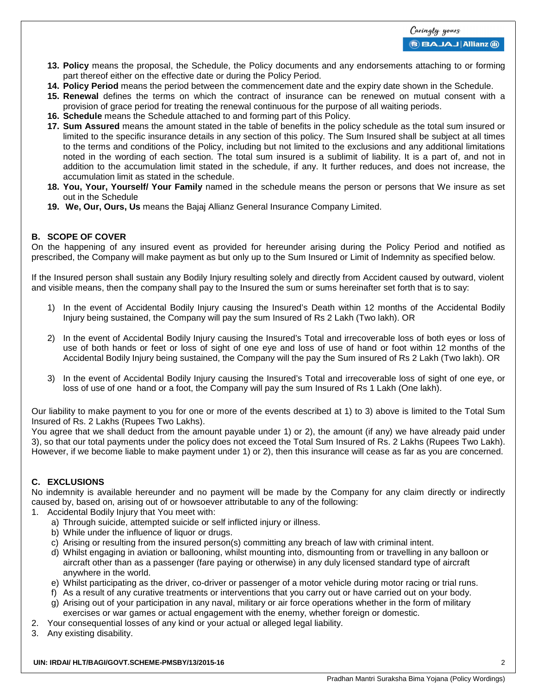- **13. Policy** means the proposal, the Schedule, the Policy documents and any endorsements attaching to or forming part thereof either on the effective date or during the Policy Period.
- **14. Policy Period** means the period between the commencement date and the expiry date shown in the Schedule.
- **15. Renewal** defines the terms on which the contract of insurance can be renewed on mutual consent with a provision of grace period for treating the renewal continuous for the purpose of all waiting periods.
- **16. Schedule** means the Schedule attached to and forming part of this Policy.
- **17. Sum Assured** means the amount stated in the table of benefits in the policy schedule as the total sum insured or limited to the specific insurance details in any section of this policy. The Sum Insured shall be subject at all times to the terms and conditions of the Policy, including but not limited to the exclusions and any additional limitations noted in the wording of each section. The total sum insured is a sublimit of liability. It is a part of, and not in addition to the accumulation limit stated in the schedule, if any. It further reduces, and does not increase, the accumulation limit as stated in the schedule.
- **18. You, Your, Yourself/ Your Family** named in the schedule means the person or persons that We insure as set out in the Schedule
- **19. We, Our, Ours, Us** means the Bajaj Allianz General Insurance Company Limited.

## **B. SCOPE OF COVER**

On the happening of any insured event as provided for hereunder arising during the Policy Period and notified as prescribed, the Company will make payment as but only up to the Sum Insured or Limit of Indemnity as specified below.

If the Insured person shall sustain any Bodily Injury resulting solely and directly from Accident caused by outward, violent and visible means, then the company shall pay to the Insured the sum or sums hereinafter set forth that is to say:

- 1) In the event of Accidental Bodily Injury causing the Insured's Death within 12 months of the Accidental Bodily Injury being sustained, the Company will pay the sum Insured of Rs 2 Lakh (Two lakh). OR
- 2) In the event of Accidental Bodily Injury causing the Insured's Total and irrecoverable loss of both eyes or loss of use of both hands or feet or loss of sight of one eye and loss of use of hand or foot within 12 months of the Accidental Bodily Injury being sustained, the Company will the pay the Sum insured of Rs 2 Lakh (Two lakh). OR
- 3) In the event of Accidental Bodily Injury causing the Insured's Total and irrecoverable loss of sight of one eye, or loss of use of one hand or a foot, the Company will pay the sum Insured of Rs 1 Lakh (One lakh).

Our liability to make payment to you for one or more of the events described at 1) to 3) above is limited to the Total Sum Insured of Rs. 2 Lakhs (Rupees Two Lakhs).

You agree that we shall deduct from the amount payable under 1) or 2), the amount (if any) we have already paid under 3), so that our total payments under the policy does not exceed the Total Sum Insured of Rs. 2 Lakhs (Rupees Two Lakh). However, if we become liable to make payment under 1) or 2), then this insurance will cease as far as you are concerned.

## **C. EXCLUSIONS**

No indemnity is available hereunder and no payment will be made by the Company for any claim directly or indirectly caused by, based on, arising out of or howsoever attributable to any of the following:

- 1. Accidental Bodily Injury that You meet with:
	- a) Through suicide, attempted suicide or self inflicted injury or illness.
	- b) While under the influence of liquor or drugs.
	- c) Arising or resulting from the insured person(s) committing any breach of law with criminal intent.
	- d) Whilst engaging in aviation or ballooning, whilst mounting into, dismounting from or travelling in any balloon or aircraft other than as a passenger (fare paying or otherwise) in any duly licensed standard type of aircraft anywhere in the world.
	- e) Whilst participating as the driver, co-driver or passenger of a motor vehicle during motor racing or trial runs.
	- f) As a result of any curative treatments or interventions that you carry out or have carried out on your body.
	- g) Arising out of your participation in any naval, military or air force operations whether in the form of military exercises or war games or actual engagement with the enemy, whether foreign or domestic.
- 2. Your consequential losses of any kind or your actual or alleged legal liability.
- 3. Any existing disability.

#### **UIN: IRDAI/ HLT/BAGI/GOVT.SCHEME-PMSBY/13/2015-16** 2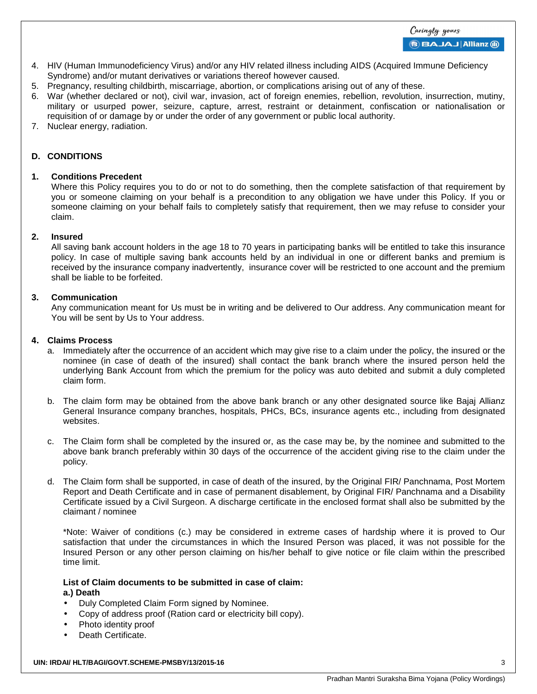#### **BBAJAJ Allianz (ii)**

- 4. HIV (Human Immunodeficiency Virus) and/or any HIV related illness including AIDS (Acquired Immune Deficiency Syndrome) and/or mutant derivatives or variations thereof however caused.
- 5. Pregnancy, resulting childbirth, miscarriage, abortion, or complications arising out of any of these.
- 6. War (whether declared or not), civil war, invasion, act of foreign enemies, rebellion, revolution, insurrection, mutiny, military or usurped power, seizure, capture, arrest, restraint or detainment, confiscation or nationalisation or requisition of or damage by or under the order of any government or public local authority.
- 7. Nuclear energy, radiation.

## **D. CONDITIONS**

### **1. Conditions Precedent**

Where this Policy requires you to do or not to do something, then the complete satisfaction of that requirement by you or someone claiming on your behalf is a precondition to any obligation we have under this Policy. If you or someone claiming on your behalf fails to completely satisfy that requirement, then we may refuse to consider your claim.

### **2. Insured**

All saving bank account holders in the age 18 to 70 years in participating banks will be entitled to take this insurance policy. In case of multiple saving bank accounts held by an individual in one or different banks and premium is received by the insurance company inadvertently, insurance cover will be restricted to one account and the premium shall be liable to be forfeited.

### **3. Communication**

Any communication meant for Us must be in writing and be delivered to Our address. Any communication meant for You will be sent by Us to Your address.

### **4. Claims Process**

- a. Immediately after the occurrence of an accident which may give rise to a claim under the policy, the insured or the nominee (in case of death of the insured) shall contact the bank branch where the insured person held the underlying Bank Account from which the premium for the policy was auto debited and submit a duly completed claim form.
- b. The claim form may be obtained from the above bank branch or any other designated source like Bajaj Allianz General Insurance company branches, hospitals, PHCs, BCs, insurance agents etc., including from designated websites.
- c. The Claim form shall be completed by the insured or, as the case may be, by the nominee and submitted to the above bank branch preferably within 30 days of the occurrence of the accident giving rise to the claim under the policy.
- d. The Claim form shall be supported, in case of death of the insured, by the Original FIR/ Panchnama, Post Mortem Report and Death Certificate and in case of permanent disablement, by Original FIR/ Panchnama and a Disability Certificate issued by a Civil Surgeon. A discharge certificate in the enclosed format shall also be submitted by the claimant / nominee

\*Note: Waiver of conditions (c.) may be considered in extreme cases of hardship where it is proved to Our satisfaction that under the circumstances in which the Insured Person was placed, it was not possible for the Insured Person or any other person claiming on his/her behalf to give notice or file claim within the prescribed time limit.

#### **List of Claim documents to be submitted in case of claim: a.) Death**

- Duly Completed Claim Form signed by Nominee.
- Copy of address proof (Ration card or electricity bill copy).
- Photo identity proof
- Death Certificate.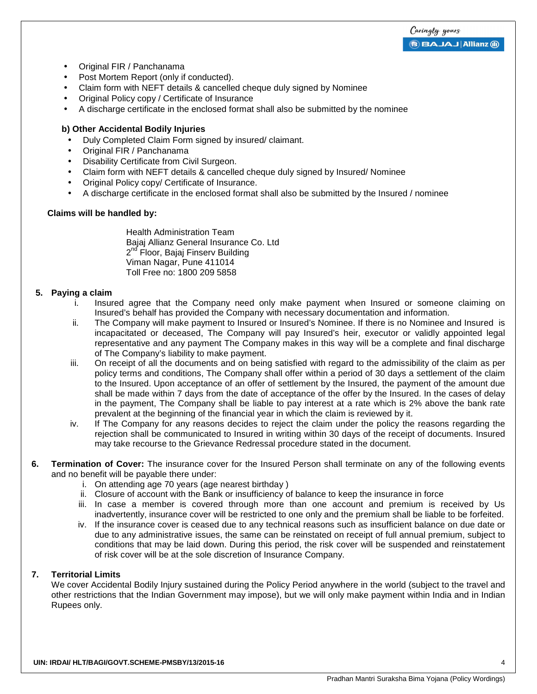Caringly yours **BAJAJ Allianz (ii)** 

- Original FIR / Panchanama
- Post Mortem Report (only if conducted).
- Claim form with NEFT details & cancelled cheque duly signed by Nominee
- Original Policy copy / Certificate of Insurance
- A discharge certificate in the enclosed format shall also be submitted by the nominee

#### **b) Other Accidental Bodily Injuries**

- Duly Completed Claim Form signed by insured/ claimant.
- Original FIR / Panchanama
- Disability Certificate from Civil Surgeon.
- Claim form with NEFT details & cancelled cheque duly signed by Insured/ Nominee
- Original Policy copy/ Certificate of Insurance.
- A discharge certificate in the enclosed format shall also be submitted by the Insured / nominee

#### **Claims will be handled by:**

Health Administration Team Bajaj Allianz General Insurance Co. Ltd 2<sup>nd</sup> Floor, Bajaj Finserv Building Viman Nagar, Pune 411014 Toll Free no: 1800 209 5858

#### **5. Paying a claim**

- i. Insured agree that the Company need only make payment when Insured or someone claiming on Insured's behalf has provided the Company with necessary documentation and information.
- ii. The Company will make payment to Insured or Insured's Nominee. If there is no Nominee and Insured is incapacitated or deceased, The Company will pay Insured's heir, executor or validly appointed legal representative and any payment The Company makes in this way will be a complete and final discharge of The Company's liability to make payment.
- iii. On receipt of all the documents and on being satisfied with regard to the admissibility of the claim as per policy terms and conditions, The Company shall offer within a period of 30 days a settlement of the claim to the Insured. Upon acceptance of an offer of settlement by the Insured, the payment of the amount due shall be made within 7 days from the date of acceptance of the offer by the Insured. In the cases of delay in the payment, The Company shall be liable to pay interest at a rate which is 2% above the bank rate prevalent at the beginning of the financial year in which the claim is reviewed by it.
- iv. If The Company for any reasons decides to reject the claim under the policy the reasons regarding the rejection shall be communicated to Insured in writing within 30 days of the receipt of documents. Insured may take recourse to the Grievance Redressal procedure stated in the document.
- **6. Termination of Cover:** The insurance cover for the Insured Person shall terminate on any of the following events and no benefit will be payable there under:
	- i. On attending age 70 years (age nearest birthday )
	- ii. Closure of account with the Bank or insufficiency of balance to keep the insurance in force
	- iii. In case a member is covered through more than one account and premium is received by Us inadvertently, insurance cover will be restricted to one only and the premium shall be liable to be forfeited.
	- iv. If the insurance cover is ceased due to any technical reasons such as insufficient balance on due date or due to any administrative issues, the same can be reinstated on receipt of full annual premium, subject to conditions that may be laid down. During this period, the risk cover will be suspended and reinstatement of risk cover will be at the sole discretion of Insurance Company.

#### **7. Territorial Limits**

We cover Accidental Bodily Injury sustained during the Policy Period anywhere in the world (subject to the travel and other restrictions that the Indian Government may impose), but we will only make payment within India and in Indian Rupees only.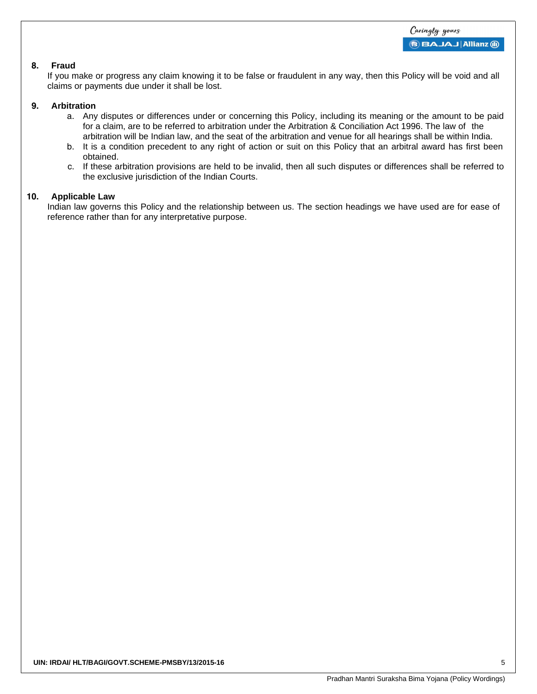#### **8. Fraud**

If you make or progress any claim knowing it to be false or fraudulent in any way, then this Policy will be void and all claims or payments due under it shall be lost.

#### **9. Arbitration**

- a. Any disputes or differences under or concerning this Policy, including its meaning or the amount to be paid for a claim, are to be referred to arbitration under the Arbitration & Conciliation Act 1996. The law of the arbitration will be Indian law, and the seat of the arbitration and venue for all hearings shall be within India.
- b. It is a condition precedent to any right of action or suit on this Policy that an arbitral award has first been obtained.
- c. If these arbitration provisions are held to be invalid, then all such disputes or differences shall be referred to the exclusive jurisdiction of the Indian Courts.

#### **10. Applicable Law**

Indian law governs this Policy and the relationship between us. The section headings we have used are for ease of reference rather than for any interpretative purpose.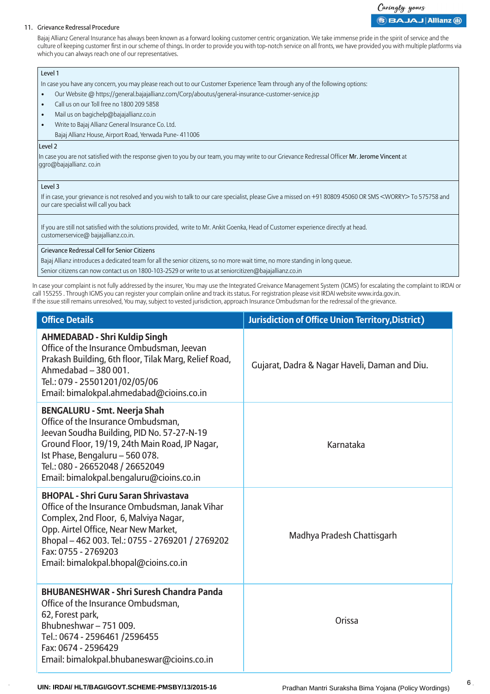# Caringly yours **BAJAJ Allianz @**

#### 11. Grievance Redressal Procedure

Bajaj Allianz General Insurance has always been known as a forward looking customer centric organization. We take immense pride in the spirit of service and the culture of keeping customer first in our scheme of things. In order to provide you with top-notch service on all fronts, we have provided you with multiple platforms via which you can always reach one of our representatives.

#### Level 1

In case you have any concern, you may please reach out to our Customer Experience Team through any of the following options:

- Our Website @ https://general.bajajallianz.com/Corp/aboutus/general-insurance-customer-service.jsp
- Call us on our Toll free no 1800 209 5858
- Mail us on bagichelp@bajajallianz.co.in
- Write to Bajaj Allianz General Insurance Co. Ltd.
	- Bajaj Allianz House, Airport Road, Yerwada Pune- 411006

#### Level 2

In case you are not satisfied with the response given to you by our team, you may write to our Grievance Redressal Officer Mr. Jerome Vincent at ggro@bajajallianz. co.in

#### Level 3

If in case, your grievance is not resolved and you wish to talk to our care specialist, please Give a missed on +91 80809 45060 OR SMS <WORRY> To 575758 and our care specialist will call you back

If you are still not satisfied with the solutions provided, write to Mr. Ankit Goenka, Head of Customer experience directly at head. customerservice@ bajajallianz.co.in.

#### Grievance Redressal Cell for Senior Citizens

Bajaj Allianz introduces a dedicated team for all the senior citizens, so no more wait time, no more standing in long queue.

Senior citizens can now contact us on 1800-103-2529 or write to us at seniorcitizen@bajajallianz.co.in

In case your complaint is not fully addressed by the insurer, You may use the Integrated Greivance Management System (IGMS) for escalating the complaint to IRDAI or call 155255 . Through IGMS you can register your complain online and track its status. For registration please visit IRDAI website www.irda.gov.in. If the issue still remains unresolved, You may, subject to vested jurisdiction, approach Insurance Ombudsman for the redressal of the grievance.

| <b>Office Details</b>                                                                                                                                                                                                                                                                            | <b>Jurisdiction of Office Union Territory, District)</b> |
|--------------------------------------------------------------------------------------------------------------------------------------------------------------------------------------------------------------------------------------------------------------------------------------------------|----------------------------------------------------------|
| <b>AHMEDABAD - Shri Kuldip Singh</b><br>Office of the Insurance Ombudsman, Jeevan<br>Prakash Building, 6th floor, Tilak Marg, Relief Road,<br>Ahmedabad - 380 001.<br>Tel.: 079 - 25501201/02/05/06<br>Email: bimalokpal.ahmedabad@cioins.co.in                                                  | Gujarat, Dadra & Nagar Haveli, Daman and Diu.            |
| <b>BENGALURU - Smt. Neerja Shah</b><br>Office of the Insurance Ombudsman,<br>Jeevan Soudha Building, PID No. 57-27-N-19<br>Ground Floor, 19/19, 24th Main Road, JP Nagar,<br>Ist Phase, Bengaluru - 560 078.<br>Tel.: 080 - 26652048 / 26652049<br>Email: bimalokpal.bengaluru@cioins.co.in      | Karnataka                                                |
| <b>BHOPAL - Shri Guru Saran Shrivastava</b><br>Office of the Insurance Ombudsman, Janak Vihar<br>Complex, 2nd Floor, 6, Malviya Nagar,<br>Opp. Airtel Office, Near New Market,<br>Bhopal-462 003. Tel.: 0755 - 2769201 / 2769202<br>Fax: 0755 - 2769203<br>Email: bimalokpal.bhopal@cioins.co.in | Madhya Pradesh Chattisgarh                               |
| <b>BHUBANESHWAR - Shri Suresh Chandra Panda</b><br>Office of the Insurance Ombudsman,<br>62, Forest park,<br>Bhubneshwar-751009.<br>Tel.: 0674 - 2596461 /2596455<br>Fax: 0674 - 2596429<br>Email: bimalokpal.bhubaneswar@cioins.co.in                                                           | Orissa                                                   |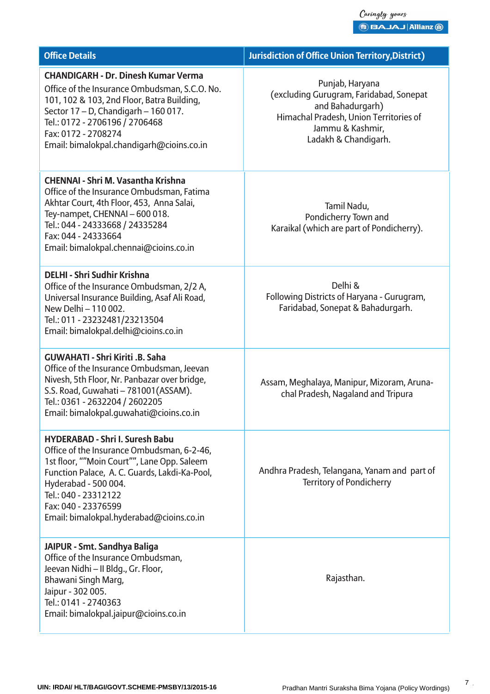| <b>Office Details</b>                                                                                                                                                                                                                                                                                   | <b>Jurisdiction of Office Union Territory, District)</b>                                                                                                             |
|---------------------------------------------------------------------------------------------------------------------------------------------------------------------------------------------------------------------------------------------------------------------------------------------------------|----------------------------------------------------------------------------------------------------------------------------------------------------------------------|
| <b>CHANDIGARH - Dr. Dinesh Kumar Verma</b><br>Office of the Insurance Ombudsman, S.C.O. No.<br>101, 102 & 103, 2nd Floor, Batra Building,<br>Sector 17 - D, Chandigarh - 160 017.<br>Tel.: 0172 - 2706196 / 2706468<br>Fax: 0172 - 2708274<br>Email: bimalokpal.chandigarh@cioins.co.in                 | Punjab, Haryana<br>(excluding Gurugram, Faridabad, Sonepat<br>and Bahadurgarh)<br>Himachal Pradesh, Union Territories of<br>Jammu & Kashmir,<br>Ladakh & Chandigarh. |
| <b>CHENNAI - Shri M. Vasantha Krishna</b><br>Office of the Insurance Ombudsman, Fatima<br>Akhtar Court, 4th Floor, 453, Anna Salai,<br>Tey-nampet, CHENNAI - 600 018.<br>Tel.: 044 - 24333668 / 24335284<br>Fax: 044 - 24333664<br>Email: bimalokpal.chennai@cioins.co.in                               | Tamil Nadu,<br>Pondicherry Town and<br>Karaikal (which are part of Pondicherry).                                                                                     |
| <b>DELHI - Shri Sudhir Krishna</b><br>Office of the Insurance Ombudsman, 2/2 A,<br>Universal Insurance Building, Asaf Ali Road,<br>New Delhi - 110 002.<br>Tel.: 011 - 23232481/23213504<br>Email: bimalokpal.delhi@cioins.co.in                                                                        | Delhi &<br>Following Districts of Haryana - Gurugram,<br>Faridabad, Sonepat & Bahadurgarh.                                                                           |
| <b>GUWAHATI - Shri Kiriti .B. Saha</b><br>Office of the Insurance Ombudsman, Jeevan<br>Nivesh, 5th Floor, Nr. Panbazar over bridge,<br>S.S. Road, Guwahati - 781001(ASSAM).<br>Tel.: 0361 - 2632204 / 2602205<br>Email: bimalokpal.guwahati@cioins.co.in                                                | Assam, Meghalaya, Manipur, Mizoram, Aruna-<br>chal Pradesh, Nagaland and Tripura                                                                                     |
| <b>HYDERABAD - Shri I. Suresh Babu</b><br>Office of the Insurance Ombudsman, 6-2-46,<br>1st floor, ""Moin Court"", Lane Opp. Saleem<br>Function Palace, A. C. Guards, Lakdi-Ka-Pool,<br>Hyderabad - 500 004.<br>Tel.: 040 - 23312122<br>Fax: 040 - 23376599<br>Email: bimalokpal.hyderabad@cioins.co.in | Andhra Pradesh, Telangana, Yanam and part of<br><b>Territory of Pondicherry</b>                                                                                      |
| JAIPUR - Smt. Sandhya Baliga<br>Office of the Insurance Ombudsman,<br>Jeevan Nidhi - II Bldg., Gr. Floor,<br>Bhawani Singh Marg,<br>Jaipur - 302 005.<br>Tel.: 0141 - 2740363<br>Email: bimalokpal.jaipur@cioins.co.in                                                                                  | Rajasthan.                                                                                                                                                           |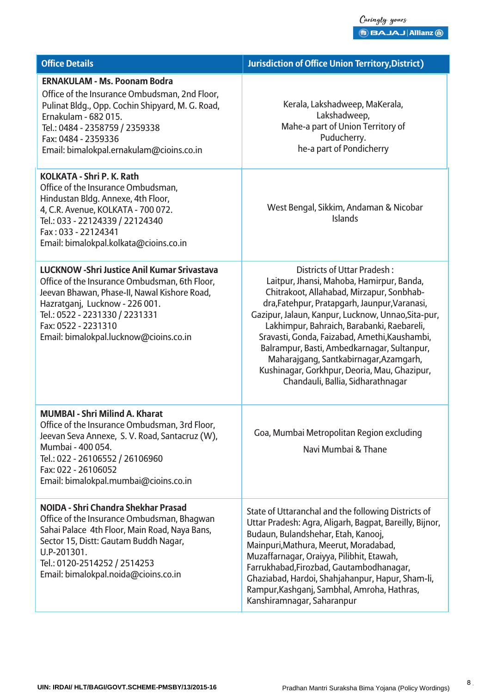$\begin{array}{l} \text{\emph{(aingly yous)}} \ \text{\emph{(b B A J A J) Allians 0)}} \ \end{array}$ 

| <b>Office Details</b>                                                                                                                                                                                                                                                                     | <b>Jurisdiction of Office Union Territory, District)</b>                                                                                                                                                                                                                                                                                                                                                                                                                                                         |
|-------------------------------------------------------------------------------------------------------------------------------------------------------------------------------------------------------------------------------------------------------------------------------------------|------------------------------------------------------------------------------------------------------------------------------------------------------------------------------------------------------------------------------------------------------------------------------------------------------------------------------------------------------------------------------------------------------------------------------------------------------------------------------------------------------------------|
| <b>ERNAKULAM - Ms. Poonam Bodra</b><br>Office of the Insurance Ombudsman, 2nd Floor,<br>Pulinat Bldg., Opp. Cochin Shipyard, M. G. Road,<br>Ernakulam - 682 015.<br>Tel.: 0484 - 2358759 / 2359338<br>Fax: 0484 - 2359336<br>Email: bimalokpal.ernakulam@cioins.co.in                     | Kerala, Lakshadweep, MaKerala,<br>Lakshadweep,<br>Mahe-a part of Union Territory of<br>Puducherry.<br>he-a part of Pondicherry                                                                                                                                                                                                                                                                                                                                                                                   |
| <b>KOLKATA - Shri P. K. Rath</b><br>Office of the Insurance Ombudsman,<br>Hindustan Bldg. Annexe, 4th Floor,<br>4, C.R. Avenue, KOLKATA - 700 072.<br>Tel.: 033 - 22124339 / 22124340<br>Fax: 033 - 22124341<br>Email: bimalokpal.kolkata@cioins.co.in                                    | West Bengal, Sikkim, Andaman & Nicobar<br><b>Islands</b>                                                                                                                                                                                                                                                                                                                                                                                                                                                         |
| <b>LUCKNOW - Shri Justice Anil Kumar Srivastava</b><br>Office of the Insurance Ombudsman, 6th Floor,<br>Jeevan Bhawan, Phase-II, Nawal Kishore Road,<br>Hazratganj, Lucknow - 226 001.<br>Tel.: 0522 - 2231330 / 2231331<br>Fax: 0522 - 2231310<br>Email: bimalokpal.lucknow@cioins.co.in | <b>Districts of Uttar Pradesh:</b><br>Laitpur, Jhansi, Mahoba, Hamirpur, Banda,<br>Chitrakoot, Allahabad, Mirzapur, Sonbhab-<br>dra, Fatehpur, Pratapgarh, Jaunpur, Varanasi,<br>Gazipur, Jalaun, Kanpur, Lucknow, Unnao, Sita-pur,<br>Lakhimpur, Bahraich, Barabanki, Raebareli,<br>Sravasti, Gonda, Faizabad, Amethi, Kaushambi,<br>Balrampur, Basti, Ambedkarnagar, Sultanpur,<br>Maharajgang, Santkabirnagar, Azamgarh,<br>Kushinagar, Gorkhpur, Deoria, Mau, Ghazipur,<br>Chandauli, Ballia, Sidharathnagar |
| <b>MUMBAI - Shri Milind A. Kharat</b><br>Office of the Insurance Ombudsman, 3rd Floor,<br>Jeevan Seva Annexe, S. V. Road, Santacruz (W),<br>Mumbai - 400 054.<br>Tel.: 022 - 26106552 / 26106960<br>Fax: 022 - 26106052<br>Email: bimalokpal.mumbai@cioins.co.in                          | Goa, Mumbai Metropolitan Region excluding<br>Navi Mumbai & Thane                                                                                                                                                                                                                                                                                                                                                                                                                                                 |
| NOIDA - Shri Chandra Shekhar Prasad<br>Office of the Insurance Ombudsman, Bhagwan<br>Sahai Palace 4th Floor, Main Road, Naya Bans,<br>Sector 15, Distt: Gautam Buddh Nagar,<br>U.P-201301.<br>Tel.: 0120-2514252 / 2514253<br>Email: bimalokpal.noida@cioins.co.in                        | State of Uttaranchal and the following Districts of<br>Uttar Pradesh: Agra, Aligarh, Bagpat, Bareilly, Bijnor,<br>Budaun, Bulandshehar, Etah, Kanooj,<br>Mainpuri, Mathura, Meerut, Moradabad,<br>Muzaffarnagar, Oraiyya, Pilibhit, Etawah,<br>Farrukhabad, Firozbad, Gautambodhanagar,<br>Ghaziabad, Hardoi, Shahjahanpur, Hapur, Sham-li,<br>Rampur, Kashganj, Sambhal, Amroha, Hathras,<br>Kanshiramnagar, Saharanpur                                                                                         |